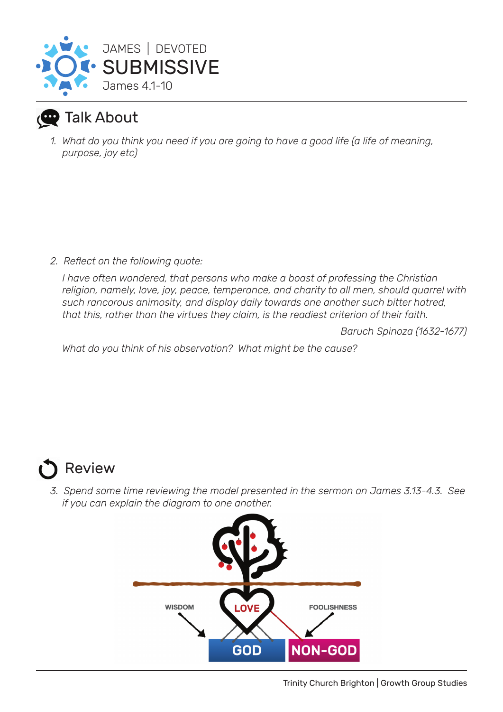

## Talk About

*1. What do you think you need if you are going to have a good life (a life of meaning, purpose, joy etc)*

*2. Reflect on the following quote:*

*I have often wondered, that persons who make a boast of professing the Christian religion, namely, love, joy, peace, temperance, and charity to all men, should quarrel with such rancorous animosity, and display daily towards one another such bitter hatred, that this, rather than the virtues they claim, is the readiest criterion of their faith.* 

*Baruch Spinoza (1632-1677)*

*What do you think of his observation? What might be the cause?*

## Review

*3. Spend some time reviewing the model presented in the sermon on James 3.13-4.3. See if you can explain the diagram to one another.*

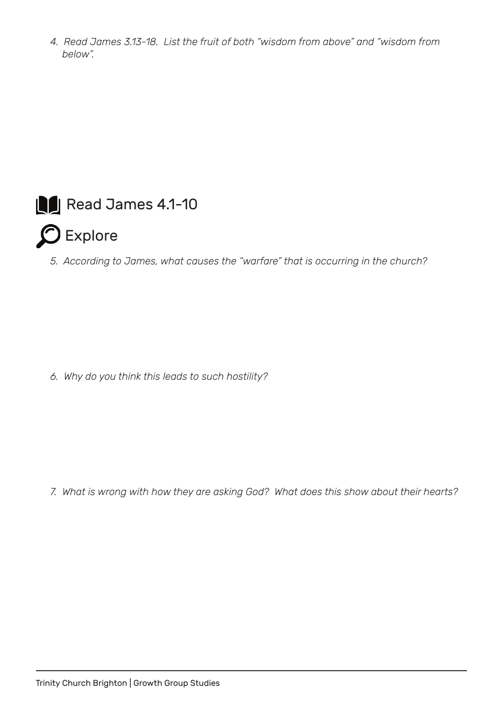*4. Read James 3.13-18. List the fruit of both "wisdom from above" and "wisdom from below".*



 $\Omega$  Explore

*5. According to James, what causes the "warfare" that is occurring in the church?*

*6. Why do you think this leads to such hostility?*

*7. What is wrong with how they are asking God? What does this show about their hearts?*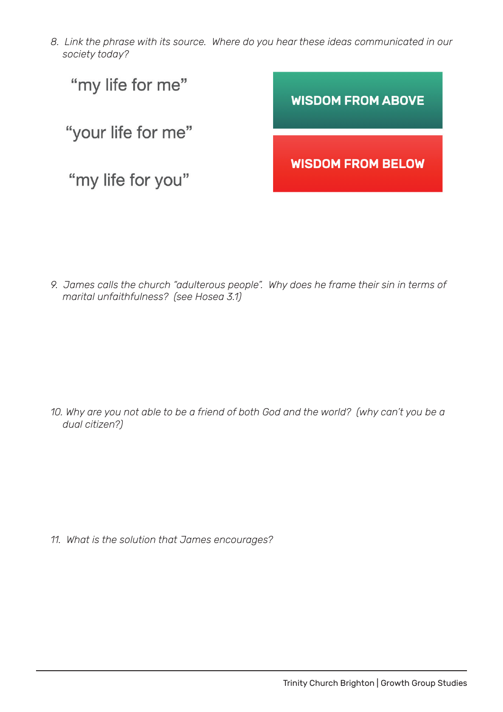*8. Link the phrase with its source. Where do you hear these ideas communicated in our society today?*



*9. James calls the church "adulterous people". Why does he frame their sin in terms of marital unfaithfulness? (see Hosea 3.1)*

*10. Why are you not able to be a friend of both God and the world? (why can't you be a dual citizen?)*

*11. What is the solution that James encourages?*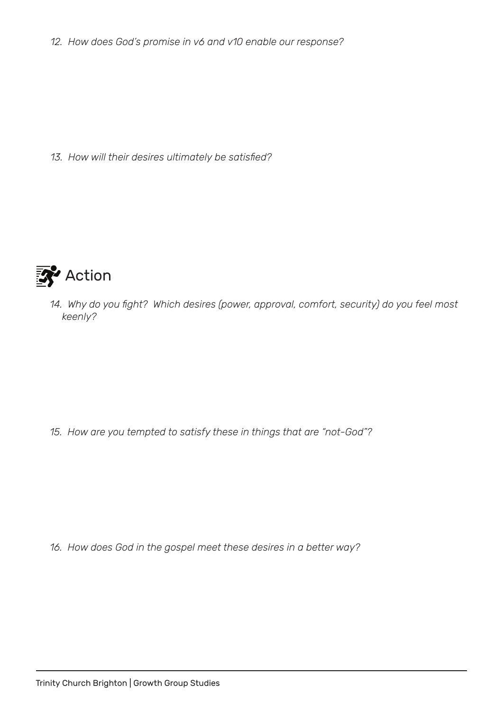*12. How does God's promise in v6 and v10 enable our response?*

*13. How will their desires ultimately be satisfied?*



*14. Why do you fight? Which desires (power, approval, comfort, security) do you feel most keenly?*

*15. How are you tempted to satisfy these in things that are "not-God"?*

*16. How does God in the gospel meet these desires in a better way?*